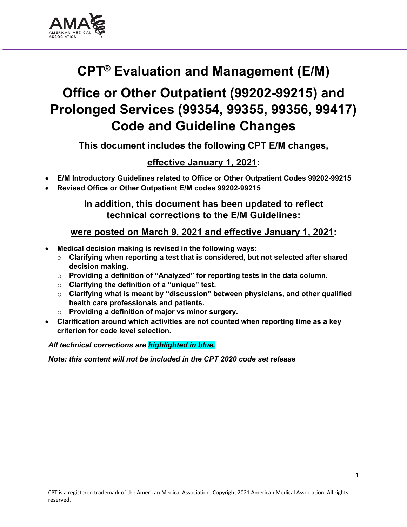

# **CPT® Evaluation and Management (E/M)**

# **Office or Other Outpatient (99202-99215) and Prolonged Services (99354, 99355, 99356, 99417) Code and Guideline Changes**

**This document includes the following CPT E/M changes,**

### **effective January 1, 2021:**

- **E/M Introductory Guidelines related to Office or Other Outpatient Codes 99202-99215**
- **Revised Office or Other Outpatient E/M codes 99202-99215**

### **In addition, this document has been updated to reflect technical corrections to the E/M Guidelines:**

### **were posted on March 9, 2021 and effective January 1, 2021:**

- **Medical decision making is revised in the following ways:**
	- o **Clarifying when reporting a test that is considered, but not selected after shared decision making.**
	- o **Providing a definition of "Analyzed" for reporting tests in the data column.**
	- o **Clarifying the definition of a "unique" test.**
	- o **Clarifying what is meant by "discussion" between physicians, and other qualified health care professionals and patients.**
	- o **Providing a definition of major vs minor surgery.**
- **Clarification around which activities are not counted when reporting time as a key criterion for code level selection.**

#### *All technical corrections are highlighted in blue.*

*Note: this content will not be included in the CPT 2020 code set release*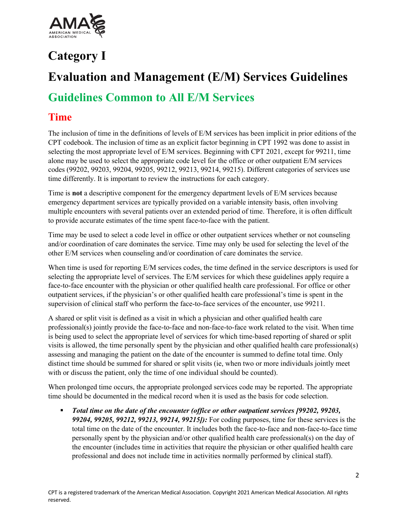

# **Category I**

# **Evaluation and Management (E/M) Services Guidelines**

## **Guidelines Common to All E/M Services**

## **Time**

The inclusion of time in the definitions of levels of E/M services has been implicit in prior editions of the CPT codebook. The inclusion of time as an explicit factor beginning in CPT 1992 was done to assist in selecting the most appropriate level of E/M services. Beginning with CPT 2021, except for 99211, time alone may be used to select the appropriate code level for the office or other outpatient E/M services codes (99202, 99203, 99204, 99205, 99212, 99213, 99214, 99215). Different categories of services use time differently. It is important to review the instructions for each category.

Time is **not** a descriptive component for the emergency department levels of E/M services because emergency department services are typically provided on a variable intensity basis, often involving multiple encounters with several patients over an extended period of time. Therefore, it is often difficult to provide accurate estimates of the time spent face-to-face with the patient.

Time may be used to select a code level in office or other outpatient services whether or not counseling and/or coordination of care dominates the service. Time may only be used for selecting the level of the other E/M services when counseling and/or coordination of care dominates the service.

When time is used for reporting E/M services codes, the time defined in the service descriptors is used for selecting the appropriate level of services. The E/M services for which these guidelines apply require a face-to-face encounter with the physician or other qualified health care professional. For office or other outpatient services, if the physician's or other qualified health care professional's time is spent in the supervision of clinical staff who perform the face-to-face services of the encounter, use 99211.

A shared or split visit is defined as a visit in which a physician and other qualified health care professional(s) jointly provide the face-to-face and non-face-to-face work related to the visit. When time is being used to select the appropriate level of services for which time-based reporting of shared or split visits is allowed, the time personally spent by the physician and other qualified health care professional(s) assessing and managing the patient on the date of the encounter is summed to define total time. Only distinct time should be summed for shared or split visits (ie, when two or more individuals jointly meet with or discuss the patient, only the time of one individual should be counted).

When prolonged time occurs, the appropriate prolonged services code may be reported. The appropriate time should be documented in the medical record when it is used as the basis for code selection.

§ *Total time on the date of the encounter (office or other outpatient services [99202, 99203, 99204, 99205, 99212, 99213, 99214, 99215]):* For coding purposes, time for these services is the total time on the date of the encounter. It includes both the face-to-face and non-face-to-face time personally spent by the physician and/or other qualified health care professional(s) on the day of the encounter (includes time in activities that require the physician or other qualified health care professional and does not include time in activities normally performed by clinical staff).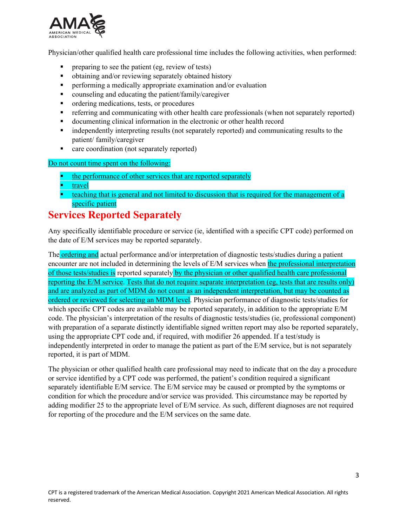

Physician/other qualified health care professional time includes the following activities, when performed:

- § preparing to see the patient (eg, review of tests)
- obtaining and/or reviewing separately obtained history
- performing a medically appropriate examination and/or evaluation
- counseling and educating the patient/family/caregiver
- ordering medications, tests, or procedures
- referring and communicating with other health care professionals (when not separately reported)
- documenting clinical information in the electronic or other health record
- independently interpreting results (not separately reported) and communicating results to the patient/ family/caregiver
- care coordination (not separately reported)

#### Do not count time spent on the following:

- the performance of other services that are reported separately
- § travel
- teaching that is general and not limited to discussion that is required for the management of a specific patient

### **Services Reported Separately**

Any specifically identifiable procedure or service (ie, identified with a specific CPT code) performed on the date of E/M services may be reported separately.

The ordering and actual performance and/or interpretation of diagnostic tests/studies during a patient encounter are not included in determining the levels of E/M services when the professional interpretation of those tests/studies is reported separately by the physician or other qualified health care professional reporting the E/M service. Tests that do not require separate interpretation (eg, tests that are results only) and are analyzed as part of MDM do not count as an independent interpretation, but may be counted as ordered or reviewed for selecting an MDM level. Physician performance of diagnostic tests/studies for which specific CPT codes are available may be reported separately, in addition to the appropriate E/M code. The physician's interpretation of the results of diagnostic tests/studies (ie, professional component) with preparation of a separate distinctly identifiable signed written report may also be reported separately, using the appropriate CPT code and, if required, with modifier 26 appended. If a test/study is independently interpreted in order to manage the patient as part of the E/M service, but is not separately reported, it is part of MDM.

The physician or other qualified health care professional may need to indicate that on the day a procedure or service identified by a CPT code was performed, the patient's condition required a significant separately identifiable E/M service. The E/M service may be caused or prompted by the symptoms or condition for which the procedure and/or service was provided. This circumstance may be reported by adding modifier 25 to the appropriate level of E/M service. As such, different diagnoses are not required for reporting of the procedure and the E/M services on the same date.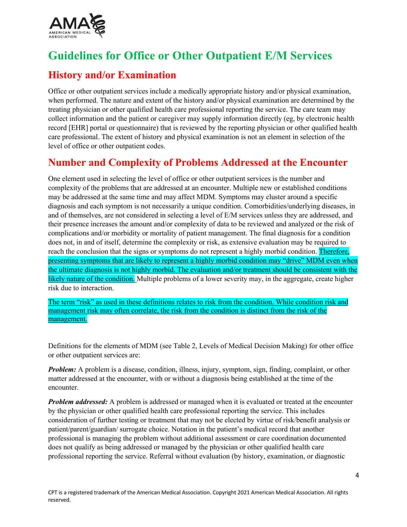

## **Guidelines for Office or Other Outpatient E/M Services**

## **History and/or Examination**

Office or other outpatient services include a medically appropriate history and/or physical examination, when performed. The nature and extent of the history and/or physical examination are determined by the treating physician or other qualified health care professional reporting the service. The care team may collect information and the patient or caregiver may supply information directly (eg, by electronic health record [EHR] portal or questionnaire) that is reviewed by the reporting physician or other qualified health care professional. The extent of history and physical examination is not an element in selection of the level of office or other outpatient codes.

## **Number and Complexity of Problems Addressed at the Encounter**

One element used in selecting the level of office or other outpatient services is the number and complexity of the problems that are addressed at an encounter. Multiple new or established conditions may be addressed at the same time and may affect MDM. Symptoms may cluster around a specific diagnosis and each symptom is not necessarily a unique condition. Comorbidities/underlying diseases, in and of themselves, are not considered in selecting a level of E/M services unless they are addressed, and their presence increases the amount and/or complexity of data to be reviewed and analyzed or the risk of complications and/or morbidity or mortality of patient management. The final diagnosis for a condition does not, in and of itself, determine the complexity or risk, as extensive evaluation may be required to reach the conclusion that the signs or symptoms do not represent a highly morbid condition. Therefore, presenting symptoms that are likely to represent a highly morbid condition may "drive" MDM even when the ultimate diagnosis is not highly morbid. The evaluation and/or treatment should be consistent with the likely nature of the condition. Multiple problems of a lower severity may, in the aggregate, create higher risk due to interaction.

The term "risk" as used in these definitions relates to risk from the condition. While condition risk and management risk may often correlate, the risk from the condition is distinct from the risk of the management.

Definitions for the elements of MDM (see Table 2, Levels of Medical Decision Making) for other office or other outpatient services are:

*Problem:* A problem is a disease, condition, illness, injury, symptom, sign, finding, complaint, or other matter addressed at the encounter, with or without a diagnosis being established at the time of the encounter.

*Problem addressed:* A problem is addressed or managed when it is evaluated or treated at the encounter by the physician or other qualified health care professional reporting the service. This includes consideration of further testing or treatment that may not be elected by virtue of risk/benefit analysis or patient/parent/guardian/ surrogate choice. Notation in the patient's medical record that another professional is managing the problem without additional assessment or care coordination documented does not qualify as being addressed or managed by the physician or other qualified health care professional reporting the service. Referral without evaluation (by history, examination, or diagnostic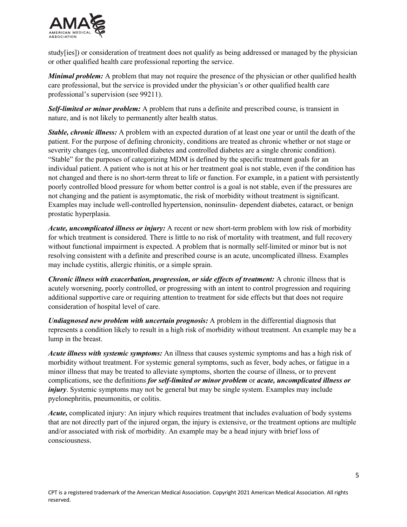

study[ies]) or consideration of treatment does not qualify as being addressed or managed by the physician or other qualified health care professional reporting the service.

*Minimal problem:* A problem that may not require the presence of the physician or other qualified health care professional, but the service is provided under the physician's or other qualified health care professional's supervision (see 99211).

*Self-limited or minor problem:* A problem that runs a definite and prescribed course, is transient in nature, and is not likely to permanently alter health status.

*Stable, chronic illness:* A problem with an expected duration of at least one year or until the death of the patient. For the purpose of defining chronicity, conditions are treated as chronic whether or not stage or severity changes (eg, uncontrolled diabetes and controlled diabetes are a single chronic condition). "Stable" for the purposes of categorizing MDM is defined by the specific treatment goals for an individual patient. A patient who is not at his or her treatment goal is not stable, even if the condition has not changed and there is no short-term threat to life or function. For example, in a patient with persistently poorly controlled blood pressure for whom better control is a goal is not stable, even if the pressures are not changing and the patient is asymptomatic, the risk of morbidity without treatment is significant. Examples may include well-controlled hypertension, noninsulin- dependent diabetes, cataract, or benign prostatic hyperplasia.

*Acute, uncomplicated illness or injury:* A recent or new short-term problem with low risk of morbidity for which treatment is considered. There is little to no risk of mortality with treatment, and full recovery without functional impairment is expected. A problem that is normally self-limited or minor but is not resolving consistent with a definite and prescribed course is an acute, uncomplicated illness. Examples may include cystitis, allergic rhinitis, or a simple sprain.

*Chronic illness with exacerbation, progression, or side effects of treatment:* A chronic illness that is acutely worsening, poorly controlled, or progressing with an intent to control progression and requiring additional supportive care or requiring attention to treatment for side effects but that does not require consideration of hospital level of care.

*Undiagnosed new problem with uncertain prognosis:* A problem in the differential diagnosis that represents a condition likely to result in a high risk of morbidity without treatment. An example may be a lump in the breast.

*Acute illness with systemic symptoms:* An illness that causes systemic symptoms and has a high risk of morbidity without treatment. For systemic general symptoms, such as fever, body aches, or fatigue in a minor illness that may be treated to alleviate symptoms, shorten the course of illness, or to prevent complications, see the definitions *for self-limited or minor problem* or *acute, uncomplicated illness or injury*. Systemic symptoms may not be general but may be single system. Examples may include pyelonephritis, pneumonitis, or colitis.

*Acute,* complicated injury: An injury which requires treatment that includes evaluation of body systems that are not directly part of the injured organ, the injury is extensive, or the treatment options are multiple and/or associated with risk of morbidity. An example may be a head injury with brief loss of consciousness.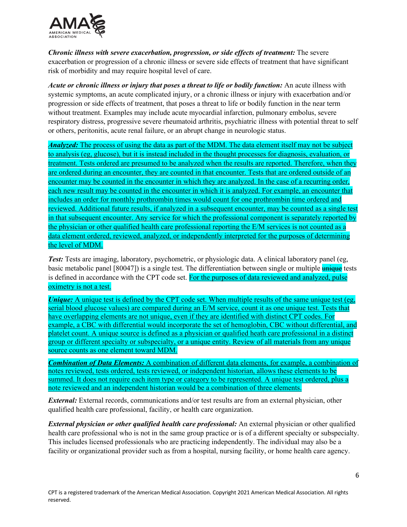

*Chronic illness with severe exacerbation, progression, or side effects of treatment:* The severe exacerbation or progression of a chronic illness or severe side effects of treatment that have significant risk of morbidity and may require hospital level of care.

*Acute or chronic illness or injury that poses a threat to life or bodily function:* An acute illness with systemic symptoms, an acute complicated injury, or a chronic illness or injury with exacerbation and/or progression or side effects of treatment, that poses a threat to life or bodily function in the near term without treatment. Examples may include acute myocardial infarction, pulmonary embolus, severe respiratory distress, progressive severe rheumatoid arthritis, psychiatric illness with potential threat to self or others, peritonitis, acute renal failure, or an abrupt change in neurologic status.

*Analyzed:* The process of using the data as part of the MDM. The data element itself may not be subject to analysis (eg, glucose), but it is instead included in the thought processes for diagnosis, evaluation, or treatment. Tests ordered are presumed to be analyzed when the results are reported. Therefore, when they are ordered during an encounter, they are counted in that encounter. Tests that are ordered outside of an encounter may be counted in the encounter in which they are analyzed. In the case of a recurring order, each new result may be counted in the encounter in which it is analyzed. For example, an encounter that includes an order for monthly prothrombin times would count for one prothrombin time ordered and reviewed. Additional future results, if analyzed in a subsequent encounter, may be counted as a single test in that subsequent encounter. Any service for which the professional component is separately reported by the physician or other qualified health care professional reporting the E/M services is not counted as a data element ordered, reviewed, analyzed, or independently interpreted for the purposes of determining the level of MDM.

*Test:* Tests are imaging, laboratory, psychometric, or physiologic data. A clinical laboratory panel (eg, basic metabolic panel [80047]) is a single test. The differentiation between single or multiple unique tests is defined in accordance with the CPT code set. For the purposes of data reviewed and analyzed, pulse oximetry is not a test.

*Unique:* A unique test is defined by the CPT code set. When multiple results of the same unique test (eg, serial blood glucose values) are compared during an E/M service, count it as one unique test. Tests that have overlapping elements are not unique, even if they are identified with distinct CPT codes. For example, a CBC with differential would incorporate the set of hemoglobin, CBC without differential, and platelet count. A unique source is defined as a physician or qualified heath care professional in a distinct group or different specialty or subspecialty, or a unique entity. Review of all materials from any unique source counts as one element toward MDM.

*Combination of Data Elements:* A combination of different data elements, for example, a combination of notes reviewed, tests ordered, tests reviewed, or independent historian, allows these elements to be summed. It does not require each item type or category to be represented. A unique test ordered, plus a note reviewed and an independent historian would be a combination of three elements.

*External:* External records, communications and/or test results are from an external physician, other qualified health care professional, facility, or health care organization.

*External physician or other qualified health care professional:* An external physician or other qualified health care professional who is not in the same group practice or is of a different specialty or subspecialty. This includes licensed professionals who are practicing independently. The individual may also be a facility or organizational provider such as from a hospital, nursing facility, or home health care agency.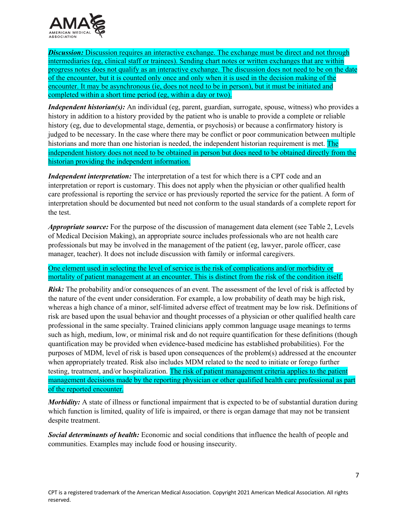

*Discussion:* Discussion requires an interactive exchange. The exchange must be direct and not through intermediaries (eg, clinical staff or trainees). Sending chart notes or written exchanges that are within progress notes does not qualify as an interactive exchange. The discussion does not need to be on the date of the encounter, but it is counted only once and only when it is used in the decision making of the encounter. It may be asynchronous (ie, does not need to be in person), but it must be initiated and completed within a short time period (eg, within a day or two).

*Independent historian(s):* An individual (eg, parent, guardian, surrogate, spouse, witness) who provides a history in addition to a history provided by the patient who is unable to provide a complete or reliable history (eg, due to developmental stage, dementia, or psychosis) or because a confirmatory history is judged to be necessary. In the case where there may be conflict or poor communication between multiple historians and more than one historian is needed, the independent historian requirement is met. The independent history does not need to be obtained in person but does need to be obtained directly from the historian providing the independent information.

*Independent interpretation:* The interpretation of a test for which there is a CPT code and an interpretation or report is customary. This does not apply when the physician or other qualified health care professional is reporting the service or has previously reported the service for the patient. A form of interpretation should be documented but need not conform to the usual standards of a complete report for the test.

*Appropriate source:* For the purpose of the discussion of management data element (see Table 2, Levels of Medical Decision Making), an appropriate source includes professionals who are not health care professionals but may be involved in the management of the patient (eg, lawyer, parole officer, case manager, teacher). It does not include discussion with family or informal caregivers.

One element used in selecting the level of service is the risk of complications and/or morbidity or mortality of patient management at an encounter. This is distinct from the risk of the condition itself.

*Risk:* The probability and/or consequences of an event. The assessment of the level of risk is affected by the nature of the event under consideration. For example, a low probability of death may be high risk, whereas a high chance of a minor, self-limited adverse effect of treatment may be low risk. Definitions of risk are based upon the usual behavior and thought processes of a physician or other qualified health care professional in the same specialty. Trained clinicians apply common language usage meanings to terms such as high, medium, low, or minimal risk and do not require quantification for these definitions (though quantification may be provided when evidence-based medicine has established probabilities). For the purposes of MDM, level of risk is based upon consequences of the problem(s) addressed at the encounter when appropriately treated. Risk also includes MDM related to the need to initiate or forego further testing, treatment, and/or hospitalization. The risk of patient management criteria applies to the patient management decisions made by the reporting physician or other qualified health care professional as part of the reported encounter.

*Morbidity:* A state of illness or functional impairment that is expected to be of substantial duration during which function is limited, quality of life is impaired, or there is organ damage that may not be transient despite treatment.

*Social determinants of health:* Economic and social conditions that influence the health of people and communities. Examples may include food or housing insecurity.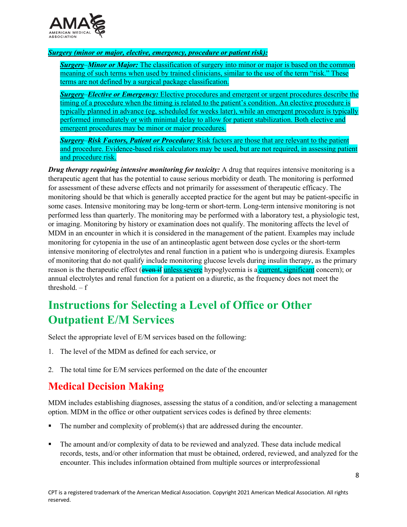

#### *Surgery (minor or major, elective, emergency, procedure or patient risk):*

*Surgery*–*Minor or Major:* The classification of surgery into minor or major is based on the common meaning of such terms when used by trained clinicians, similar to the use of the term "risk." These terms are not defined by a surgical package classification.

*Surgery*–*Elective or Emergency:* Elective procedures and emergent or urgent procedures describe the timing of a procedure when the timing is related to the patient's condition. An elective procedure is typically planned in advance (eg, scheduled for weeks later), while an emergent procedure is typically performed immediately or with minimal delay to allow for patient stabilization. Both elective and emergent procedures may be minor or major procedures.

*Surgery*–*Risk Factors, Patient or Procedure:* Risk factors are those that are relevant to the patient and procedure. Evidence-based risk calculators may be used, but are not required, in assessing patient and procedure risk.

*Drug therapy requiring intensive monitoring for toxicity:* A drug that requires intensive monitoring is a therapeutic agent that has the potential to cause serious morbidity or death. The monitoring is performed for assessment of these adverse effects and not primarily for assessment of therapeutic efficacy. The monitoring should be that which is generally accepted practice for the agent but may be patient-specific in some cases. Intensive monitoring may be long-term or short-term. Long-term intensive monitoring is not performed less than quarterly. The monitoring may be performed with a laboratory test, a physiologic test, or imaging. Monitoring by history or examination does not qualify. The monitoring affects the level of MDM in an encounter in which it is considered in the management of the patient. Examples may include monitoring for cytopenia in the use of an antineoplastic agent between dose cycles or the short-term intensive monitoring of electrolytes and renal function in a patient who is undergoing diuresis. Examples of monitoring that do not qualify include monitoring glucose levels during insulin therapy, as the primary reason is the therapeutic effect (even if unless severe hypoglycemia is a current, significant concern); or annual electrolytes and renal function for a patient on a diuretic, as the frequency does not meet the threshold.  $- f$ 

## **Instructions for Selecting a Level of Office or Other Outpatient E/M Services**

Select the appropriate level of E/M services based on the following:

- 1. The level of the MDM as defined for each service, or
- 2. The total time for E/M services performed on the date of the encounter

## **Medical Decision Making**

MDM includes establishing diagnoses, assessing the status of a condition, and/or selecting a management option. MDM in the office or other outpatient services codes is defined by three elements:

- The number and complexity of problem(s) that are addressed during the encounter.
- The amount and/or complexity of data to be reviewed and analyzed. These data include medical records, tests, and/or other information that must be obtained, ordered, reviewed, and analyzed for the encounter. This includes information obtained from multiple sources or interprofessional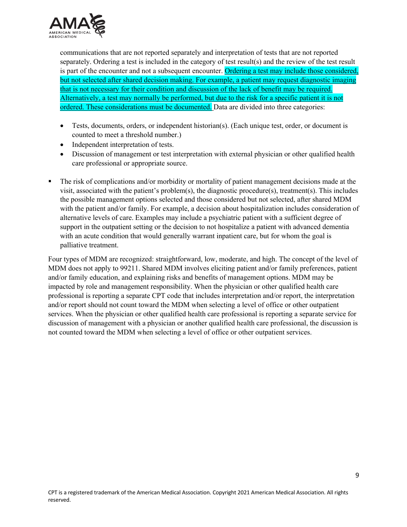

communications that are not reported separately and interpretation of tests that are not reported separately. Ordering a test is included in the category of test result(s) and the review of the test result is part of the encounter and not a subsequent encounter. Ordering a test may include those considered, but not selected after shared decision making. For example, a patient may request diagnostic imaging that is not necessary for their condition and discussion of the lack of benefit may be required. Alternatively, a test may normally be performed, but due to the risk for a specific patient it is not ordered. These considerations must be documented. Data are divided into three categories:

- Tests, documents, orders, or independent historian(s). (Each unique test, order, or document is counted to meet a threshold number.)
- Independent interpretation of tests.
- Discussion of management or test interpretation with external physician or other qualified health care professional or appropriate source.
- The risk of complications and/or morbidity or mortality of patient management decisions made at the visit, associated with the patient's problem(s), the diagnostic procedure(s), treatment(s). This includes the possible management options selected and those considered but not selected, after shared MDM with the patient and/or family. For example, a decision about hospitalization includes consideration of alternative levels of care. Examples may include a psychiatric patient with a sufficient degree of support in the outpatient setting or the decision to not hospitalize a patient with advanced dementia with an acute condition that would generally warrant inpatient care, but for whom the goal is palliative treatment.

Four types of MDM are recognized: straightforward, low, moderate, and high. The concept of the level of MDM does not apply to 99211. Shared MDM involves eliciting patient and/or family preferences, patient and/or family education, and explaining risks and benefits of management options. MDM may be impacted by role and management responsibility. When the physician or other qualified health care professional is reporting a separate CPT code that includes interpretation and/or report, the interpretation and/or report should not count toward the MDM when selecting a level of office or other outpatient services. When the physician or other qualified health care professional is reporting a separate service for discussion of management with a physician or another qualified health care professional, the discussion is not counted toward the MDM when selecting a level of office or other outpatient services.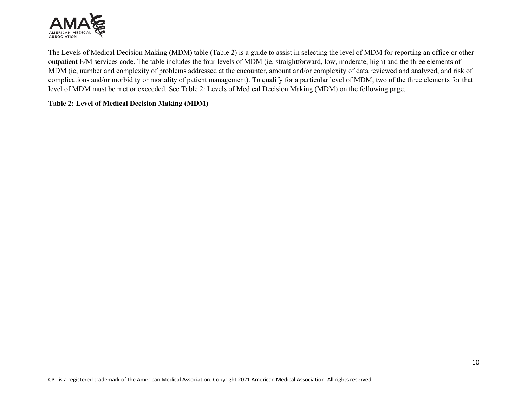

The Levels of Medical Decision Making (MDM) table (Table 2) is a guide to assist in selecting the level of MDM for reporting an office or other outpatient E/M services code. The table includes the four levels of MDM (ie, straightforward, low, moderate, high) and the three elements of MDM (ie, number and complexity of problems addressed at the encounter, amount and/or complexity of data reviewed and analyzed, and risk of complications and/or morbidity or mortality of patient management). To qualify for a particular level of MDM, two of the three elements for that level of MDM must be met or exceeded. See Table 2: Levels of Medical Decision Making (MDM) on the following page.

#### **Table 2: Level of Medical Decision Making (MDM)**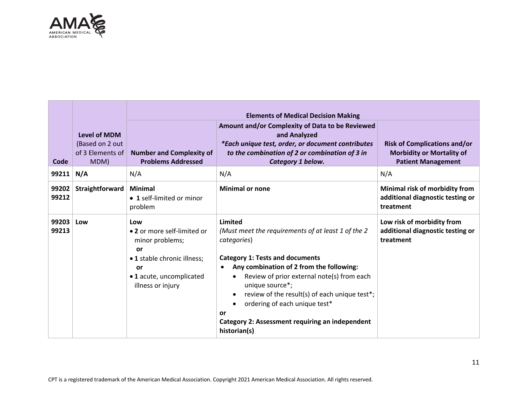

|                |                                                                    | <b>Elements of Medical Decision Making</b>                                                                                                               |                                                                                                                                                                                                                                                                                                                                                                                                                    |                                                                                                      |
|----------------|--------------------------------------------------------------------|----------------------------------------------------------------------------------------------------------------------------------------------------------|--------------------------------------------------------------------------------------------------------------------------------------------------------------------------------------------------------------------------------------------------------------------------------------------------------------------------------------------------------------------------------------------------------------------|------------------------------------------------------------------------------------------------------|
| Code           | <b>Level of MDM</b><br>(Based on 2 out<br>of 3 Elements of<br>MDM) | <b>Number and Complexity of</b><br><b>Problems Addressed</b>                                                                                             | Amount and/or Complexity of Data to be Reviewed<br>and Analyzed<br>*Each unique test, order, or document contributes<br>to the combination of 2 or combination of 3 in<br>Category 1 below.                                                                                                                                                                                                                        | <b>Risk of Complications and/or</b><br><b>Morbidity or Mortality of</b><br><b>Patient Management</b> |
| 99211          | N/A                                                                | N/A                                                                                                                                                      | N/A                                                                                                                                                                                                                                                                                                                                                                                                                | N/A                                                                                                  |
| 99202<br>99212 | Straightforward                                                    | <b>Minimal</b><br>• 1 self-limited or minor<br>problem                                                                                                   | <b>Minimal or none</b>                                                                                                                                                                                                                                                                                                                                                                                             | Minimal risk of morbidity from<br>additional diagnostic testing or<br>treatment                      |
| 99203<br>99213 | Low                                                                | Low<br>• 2 or more self-limited or<br>minor problems;<br><b>or</b><br>• 1 stable chronic illness;<br>or<br>• 1 acute, uncomplicated<br>illness or injury | Limited<br>(Must meet the requirements of at least 1 of the 2<br>categories)<br><b>Category 1: Tests and documents</b><br>Any combination of 2 from the following:<br>$\bullet$<br>Review of prior external note(s) from each<br>unique source*;<br>review of the result(s) of each unique test*;<br>ordering of each unique test*<br>or<br><b>Category 2: Assessment requiring an independent</b><br>historian(s) | Low risk of morbidity from<br>additional diagnostic testing or<br>treatment                          |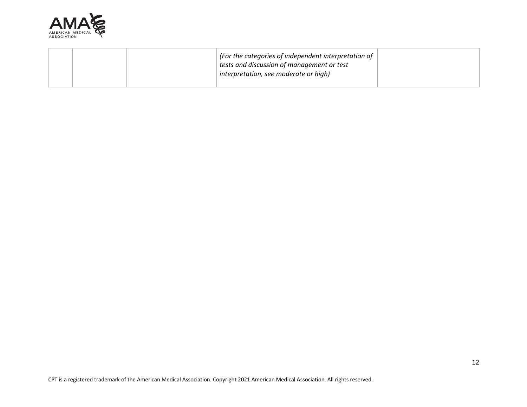

|  | For the categories of independent interpretation of<br>I tests and discussion of management or test |  |
|--|-----------------------------------------------------------------------------------------------------|--|
|  | interpretation, see moderate or high)                                                               |  |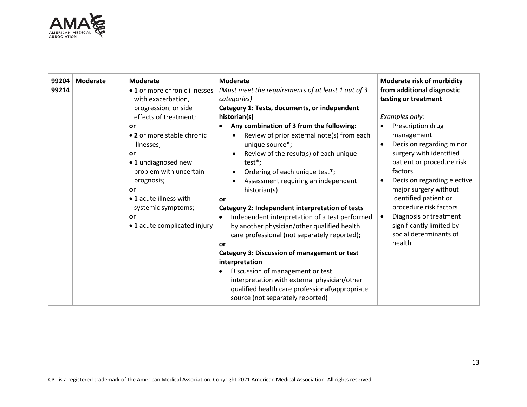

| 99204<br>99214 | <b>Moderate</b> | <b>Moderate</b><br>• 1 or more chronic illnesses<br>with exacerbation,<br>progression, or side<br>effects of treatment;<br>or<br>• 2 or more stable chronic<br>illnesses;<br><b>or</b><br>• 1 undiagnosed new<br>problem with uncertain<br>prognosis;<br>or<br>• 1 acute illness with<br>systemic symptoms;<br>or<br>• 1 acute complicated injury | <b>Moderate</b><br>(Must meet the requirements of at least 1 out of 3<br>categories)<br>Category 1: Tests, documents, or independent<br>historian(s)<br>Any combination of 3 from the following:<br>Review of prior external note(s) from each<br>٠<br>unique source*;<br>Review of the result(s) of each unique<br>test*;<br>Ordering of each unique test*;<br>$\bullet$<br>Assessment requiring an independent<br>$\bullet$<br>historian(s)<br><b>or</b><br>Category 2: Independent interpretation of tests<br>Independent interpretation of a test performed<br>$\bullet$<br>by another physician/other qualified health<br>care professional (not separately reported);<br>or<br><b>Category 3: Discussion of management or test</b><br>interpretation<br>Discussion of management or test<br>interpretation with external physician/other<br>qualified health care professional\appropriate<br>source (not separately reported) | <b>Moderate risk of morbidity</b><br>from additional diagnostic<br>testing or treatment<br>Examples only:<br>Prescription drug<br>management<br>Decision regarding minor<br>$\bullet$<br>surgery with identified<br>patient or procedure risk<br>factors<br>Decision regarding elective<br>٠<br>major surgery without<br>identified patient or<br>procedure risk factors<br>Diagnosis or treatment<br>$\bullet$<br>significantly limited by<br>social determinants of<br>health |
|----------------|-----------------|---------------------------------------------------------------------------------------------------------------------------------------------------------------------------------------------------------------------------------------------------------------------------------------------------------------------------------------------------|--------------------------------------------------------------------------------------------------------------------------------------------------------------------------------------------------------------------------------------------------------------------------------------------------------------------------------------------------------------------------------------------------------------------------------------------------------------------------------------------------------------------------------------------------------------------------------------------------------------------------------------------------------------------------------------------------------------------------------------------------------------------------------------------------------------------------------------------------------------------------------------------------------------------------------------|---------------------------------------------------------------------------------------------------------------------------------------------------------------------------------------------------------------------------------------------------------------------------------------------------------------------------------------------------------------------------------------------------------------------------------------------------------------------------------|
|----------------|-----------------|---------------------------------------------------------------------------------------------------------------------------------------------------------------------------------------------------------------------------------------------------------------------------------------------------------------------------------------------------|--------------------------------------------------------------------------------------------------------------------------------------------------------------------------------------------------------------------------------------------------------------------------------------------------------------------------------------------------------------------------------------------------------------------------------------------------------------------------------------------------------------------------------------------------------------------------------------------------------------------------------------------------------------------------------------------------------------------------------------------------------------------------------------------------------------------------------------------------------------------------------------------------------------------------------------|---------------------------------------------------------------------------------------------------------------------------------------------------------------------------------------------------------------------------------------------------------------------------------------------------------------------------------------------------------------------------------------------------------------------------------------------------------------------------------|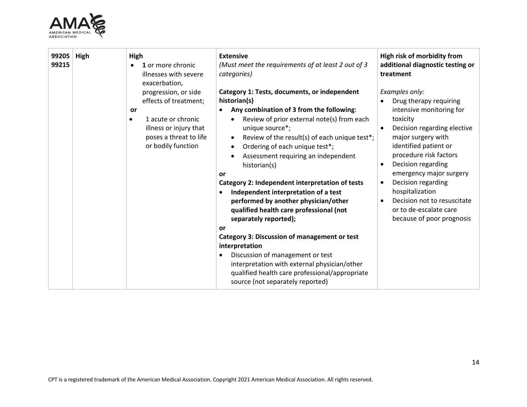

| 99205<br>99215 | High | High<br>1 or more chronic<br>illnesses with severe<br>exacerbation,                                                                                              | <b>Extensive</b><br>(Must meet the requirements of at least 2 out of 3<br>categories)                                                                                                                                                                                                                                                                                                                                                                                                                                                                                                                                                                                                                                                                                                                                             | High risk of morbidity from<br>additional diagnostic testing or<br>treatment                                                                                                                                                                                                                                                                                                                                    |
|----------------|------|------------------------------------------------------------------------------------------------------------------------------------------------------------------|-----------------------------------------------------------------------------------------------------------------------------------------------------------------------------------------------------------------------------------------------------------------------------------------------------------------------------------------------------------------------------------------------------------------------------------------------------------------------------------------------------------------------------------------------------------------------------------------------------------------------------------------------------------------------------------------------------------------------------------------------------------------------------------------------------------------------------------|-----------------------------------------------------------------------------------------------------------------------------------------------------------------------------------------------------------------------------------------------------------------------------------------------------------------------------------------------------------------------------------------------------------------|
|                |      | progression, or side<br>effects of treatment;<br>or<br>1 acute or chronic<br>$\bullet$<br>illness or injury that<br>poses a threat to life<br>or bodily function | Category 1: Tests, documents, or independent<br>historian(s)<br>Any combination of 3 from the following:<br>Review of prior external note(s) from each<br>unique source*;<br>Review of the result(s) of each unique test*;<br>Ordering of each unique test*;<br>Assessment requiring an independent<br>historian(s)<br><b>or</b><br>Category 2: Independent interpretation of tests<br>Independent interpretation of a test<br>$\bullet$<br>performed by another physician/other<br>qualified health care professional (not<br>separately reported);<br><b>or</b><br><b>Category 3: Discussion of management or test</b><br>interpretation<br>Discussion of management or test<br>$\bullet$<br>interpretation with external physician/other<br>qualified health care professional/appropriate<br>source (not separately reported) | Examples only:<br>Drug therapy requiring<br>intensive monitoring for<br>toxicity<br>Decision regarding elective<br>$\bullet$<br>major surgery with<br>identified patient or<br>procedure risk factors<br>Decision regarding<br>$\bullet$<br>emergency major surgery<br>Decision regarding<br>$\bullet$<br>hospitalization<br>Decision not to resuscitate<br>or to de-escalate care<br>because of poor prognosis |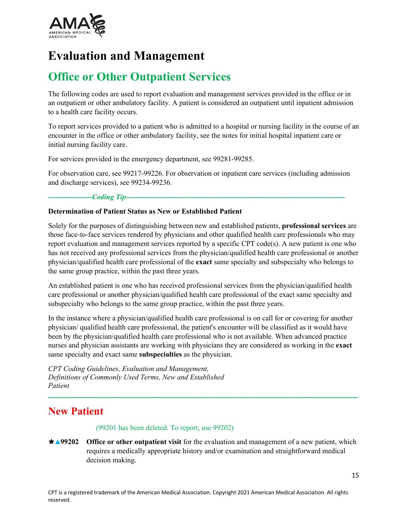

## **Evaluation and Management**

## **Office or Other Outpatient Services**

The following codes are used to report evaluation and management services provided in the office or in an outpatient or other ambulatory facility. A patient is considered an outpatient until inpatient admission to a health care facility occurs.

To report services provided to a patient who is admitted to a hospital or nursing facility in the course of an encounter in the office or other ambulatory facility, see the notes for initial hospital inpatient care or initial nursing facility care.

For services provided in the emergency department, see 99281-99285.

For observation care, see 99217-99226. For observation or inpatient care services (including admission and discharge services), see 99234-99236.

*------------------Coding Tip------------------------------------------------------------------------------------------*

#### **Determination of Patient Status as New or Established Patient**

Solely for the purposes of distinguishing between new and established patients, **professional services** are those face-to-face services rendered by physicians and other qualified health care professionals who may report evaluation and management services reported by a specific CPT code(s). A new patient is one who has not received any professional services from the physician/qualified health care professional or another physician/qualified health care professional of the **exact** same specialty and subspecialty who belongs to the same group practice, within the past three years.

An established patient is one who has received professional services from the physician/qualified health care professional or another physician/qualified health care professional of the exact same specialty and subspecialty who belongs to the same group practice, within the past three years.

In the instance where a physician/qualified health care professional is on call for or covering for another physician/ qualified health care professional, the patient's encounter will be classified as it would have been by the physician/qualified health care professional who is not available. When advanced practice nurses and physician assistants are working with physicians they are considered as working in the **exact**  same specialty and exact same **subspecialties** as the physician.

*CPT Coding Guidelines, Evaluation and Management, Definitions of Commonly Used Terms, New and Established Patient*

### **New Patient**

(99201 has been deleted. To report, use 99202)

**★▲99202** Office or other outpatient visit for the evaluation and management of a new patient, which requires a medically appropriate history and/or examination and straightforward medical decision making.

**\_\_\_\_\_\_\_\_\_\_\_\_\_\_\_\_\_\_\_\_\_\_\_\_\_\_\_\_\_\_\_\_\_\_\_\_\_\_\_\_\_\_\_\_\_\_\_\_\_\_\_\_\_\_\_\_\_\_\_\_\_\_\_\_\_\_\_\_\_\_\_\_\_\_\_\_\_\_\_\_\_\_\_\_\_**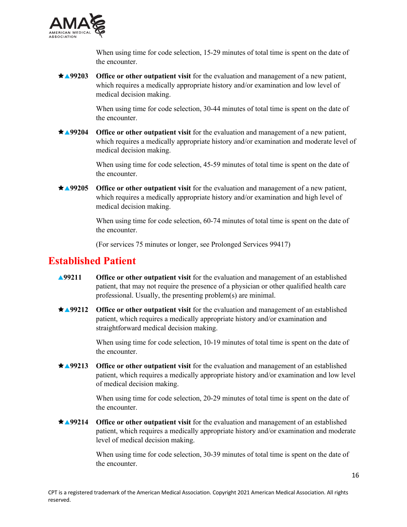

When using time for code selection, 15-29 minutes of total time is spent on the date of the encounter.

**★▲99203** Office or other outpatient visit for the evaluation and management of a new patient, which requires a medically appropriate history and/or examination and low level of medical decision making.

> When using time for code selection, 30-44 minutes of total time is spent on the date of the encounter.

**★▲99204** Office or other outpatient visit for the evaluation and management of a new patient, which requires a medically appropriate history and/or examination and moderate level of medical decision making.

> When using time for code selection, 45-59 minutes of total time is spent on the date of the encounter.

**★▲99205 Office or other outpatient visit** for the evaluation and management of a new patient, which requires a medically appropriate history and/or examination and high level of medical decision making.

> When using time for code selection, 60-74 minutes of total time is spent on the date of the encounter.

(For services 75 minutes or longer, see Prolonged Services 99417)

### **Established Patient**

- **APPENICE Office or other outpatient visit** for the evaluation and management of an established patient, that may not require the presence of a physician or other qualified health care professional. Usually, the presenting problem(s) are minimal.
- **★▲99212** Office or other outpatient visit for the evaluation and management of an established patient, which requires a medically appropriate history and/or examination and straightforward medical decision making.

When using time for code selection, 10-19 minutes of total time is spent on the date of the encounter.

**★▲99213** Office or other outpatient visit for the evaluation and management of an established patient, which requires a medically appropriate history and/or examination and low level of medical decision making.

> When using time for code selection, 20-29 minutes of total time is spent on the date of the encounter.

**★▲99214** Office or other outpatient visit for the evaluation and management of an established patient, which requires a medically appropriate history and/or examination and moderate level of medical decision making.

> When using time for code selection, 30-39 minutes of total time is spent on the date of the encounter.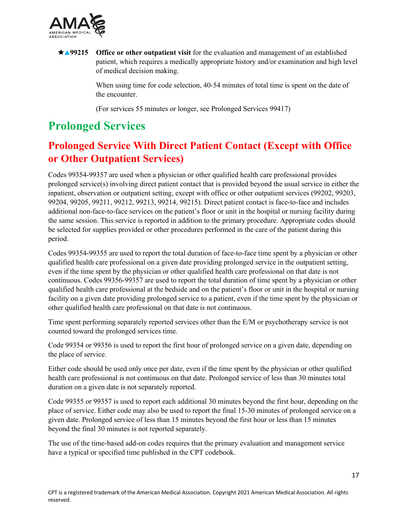

**★▲99215 Office or other outpatient visit** for the evaluation and management of an established patient, which requires a medically appropriate history and/or examination and high level of medical decision making.

> When using time for code selection, 40-54 minutes of total time is spent on the date of the encounter.

(For services 55 minutes or longer, see Prolonged Services 99417)

## **Prolonged Services**

## **Prolonged Service With Direct Patient Contact (Except with Office or Other Outpatient Services)**

Codes 99354-99357 are used when a physician or other qualified health care professional provides prolonged service(s) involving direct patient contact that is provided beyond the usual service in either the inpatient, observation or outpatient setting, except with office or other outpatient services (99202, 99203, 99204, 99205, 99211, 99212, 99213, 99214, 99215). Direct patient contact is face-to-face and includes additional non-face-to-face services on the patient's floor or unit in the hospital or nursing facility during the same session. This service is reported in addition to the primary procedure. Appropriate codes should be selected for supplies provided or other procedures performed in the care of the patient during this period.

Codes 99354-99355 are used to report the total duration of face-to-face time spent by a physician or other qualified health care professional on a given date providing prolonged service in the outpatient setting, even if the time spent by the physician or other qualified health care professional on that date is not continuous. Codes 99356-99357 are used to report the total duration of time spent by a physician or other qualified health care professional at the bedside and on the patient's floor or unit in the hospital or nursing facility on a given date providing prolonged service to a patient, even if the time spent by the physician or other qualified health care professional on that date is not continuous.

Time spent performing separately reported services other than the E/M or psychotherapy service is not counted toward the prolonged services time.

Code 99354 or 99356 is used to report the first hour of prolonged service on a given date, depending on the place of service.

Either code should be used only once per date, even if the time spent by the physician or other qualified health care professional is not continuous on that date. Prolonged service of less than 30 minutes total duration on a given date is not separately reported.

Code 99355 or 99357 is used to report each additional 30 minutes beyond the first hour, depending on the place of service. Either code may also be used to report the final 15-30 minutes of prolonged service on a given date. Prolonged service of less than 15 minutes beyond the first hour or less than 15 minutes beyond the final 30 minutes is not reported separately.

The use of the time-based add-on codes requires that the primary evaluation and management service have a typical or specified time published in the CPT codebook.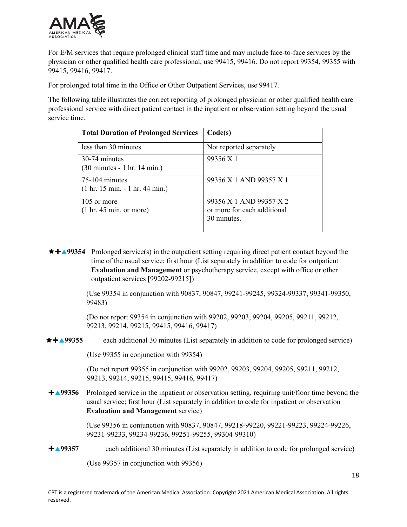

For E/M services that require prolonged clinical staff time and may include face-to-face services by the physician or other qualified health care professional, use 99415, 99416. Do not report 99354, 99355 with 99415, 99416, 99417.

For prolonged total time in the Office or Other Outpatient Services, use 99417.

The following table illustrates the correct reporting of prolonged physician or other qualified health care professional service with direct patient contact in the inpatient or observation setting beyond the usual service time.

| <b>Total Duration of Prolonged Services</b>                              | Code(s)                                                               |
|--------------------------------------------------------------------------|-----------------------------------------------------------------------|
| less than 30 minutes                                                     | Not reported separately                                               |
| 30-74 minutes<br>$(30 \text{ minutes} - 1 \text{ hr. } 14 \text{ min.})$ | 99356 X 1                                                             |
| $75-104$ minutes<br>$(1 hr. 15 min. - 1 hr. 44 min.)$                    | 99356 X 1 AND 99357 X 1                                               |
| 105 or more<br>(1 hr. 45 min. or more)                                   | 99356 X 1 AND 99357 X 2<br>or more for each additional<br>30 minutes. |

**★+499354** Prolonged service(s) in the outpatient setting requiring direct patient contact beyond the time of the usual service; first hour (List separately in addition to code for outpatient **Evaluation and Management** or psychotherapy service, except with office or other outpatient services [99202-99215])

> (Use 99354 in conjunction with 90837, 90847, 99241-99245, 99324-99337, 99341-99350, 99483)

(Do not report 99354 in conjunction with 99202, 99203, 99204, 99205, 99211, 99212, 99213, 99214, 99215, 99415, 99416, 99417)

**★+499355** each additional 30 minutes (List separately in addition to code for prolonged service)

(Use 99355 in conjunction with 99354)

(Do not report 99355 in conjunction with 99202, 99203, 99204, 99205, 99211, 99212, 99213, 99214, 99215, 99415, 99416, 99417)

 $\pm \triangle 99356$  Prolonged service in the inpatient or observation setting, requiring unit/floor time beyond the usual service; first hour (List separately in addition to code for inpatient or observation **Evaluation and Management** service)

> (Use 99356 in conjunction with 90837, 90847, 99218-99220, 99221-99223, 99224-99226, 99231-99233, 99234-99236, 99251-99255, 99304-99310)

 $\pm \triangle$ **99357** each additional 30 minutes (List separately in addition to code for prolonged service)

(Use 99357 in conjunction with 99356)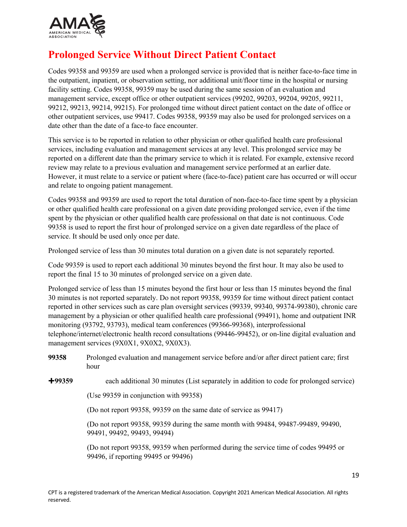

## **Prolonged Service Without Direct Patient Contact**

Codes 99358 and 99359 are used when a prolonged service is provided that is neither face-to-face time in the outpatient, inpatient, or observation setting, nor additional unit/floor time in the hospital or nursing facility setting. Codes 99358, 99359 may be used during the same session of an evaluation and management service, except office or other outpatient services (99202, 99203, 99204, 99205, 99211, 99212, 99213, 99214, 99215). For prolonged time without direct patient contact on the date of office or other outpatient services, use 99417. Codes 99358, 99359 may also be used for prolonged services on a date other than the date of a face-to face encounter.

This service is to be reported in relation to other physician or other qualified health care professional services, including evaluation and management services at any level. This prolonged service may be reported on a different date than the primary service to which it is related. For example, extensive record review may relate to a previous evaluation and management service performed at an earlier date. However, it must relate to a service or patient where (face-to-face) patient care has occurred or will occur and relate to ongoing patient management.

Codes 99358 and 99359 are used to report the total duration of non-face-to-face time spent by a physician or other qualified health care professional on a given date providing prolonged service, even if the time spent by the physician or other qualified health care professional on that date is not continuous. Code 99358 is used to report the first hour of prolonged service on a given date regardless of the place of service. It should be used only once per date.

Prolonged service of less than 30 minutes total duration on a given date is not separately reported.

Code 99359 is used to report each additional 30 minutes beyond the first hour. It may also be used to report the final 15 to 30 minutes of prolonged service on a given date.

Prolonged service of less than 15 minutes beyond the first hour or less than 15 minutes beyond the final 30 minutes is not reported separately. Do not report 99358, 99359 for time without direct patient contact reported in other services such as care plan oversight services (99339, 99340, 99374-99380), chronic care management by a physician or other qualified health care professional (99491), home and outpatient INR monitoring (93792, 93793), medical team conferences (99366-99368), interprofessional telephone/internet/electronic health record consultations (99446-99452), or on-line digital evaluation and management services (9X0X1, 9X0X2, 9X0X3).

**99358** Prolonged evaluation and management service before and/or after direct patient care; first hour

 $+99359$  each additional 30 minutes (List separately in addition to code for prolonged service)

(Use 99359 in conjunction with 99358)

(Do not report 99358, 99359 on the same date of service as 99417)

(Do not report 99358, 99359 during the same month with 99484, 99487-99489, 99490, 99491, 99492, 99493, 99494)

(Do not report 99358, 99359 when performed during the service time of codes 99495 or 99496, if reporting 99495 or 99496)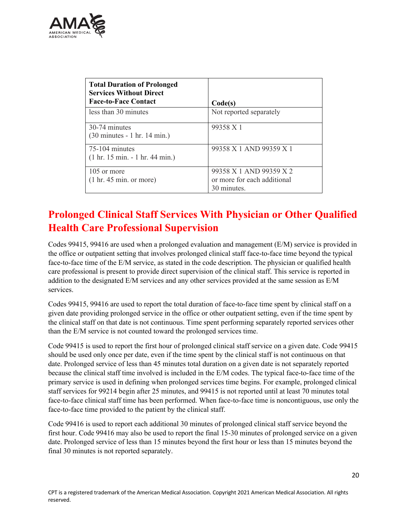

| <b>Total Duration of Prolonged</b><br><b>Services Without Direct</b><br><b>Face-to-Face Contact</b> | Code(s)                                                               |
|-----------------------------------------------------------------------------------------------------|-----------------------------------------------------------------------|
| less than 30 minutes                                                                                | Not reported separately                                               |
| 30-74 minutes<br>$(30 \text{ minutes} - 1 \text{ hr. } 14 \text{ min.})$                            | 99358 X 1                                                             |
| 75-104 minutes<br>$(1 hr. 15 min. - 1 hr. 44 min.)$                                                 | 99358 X 1 AND 99359 X 1                                               |
| $105$ or more<br>(1 hr. 45 min. or more)                                                            | 99358 X 1 AND 99359 X 2<br>or more for each additional<br>30 minutes. |

## **Prolonged Clinical Staff Services With Physician or Other Qualified Health Care Professional Supervision**

Codes 99415, 99416 are used when a prolonged evaluation and management (E/M) service is provided in the office or outpatient setting that involves prolonged clinical staff face-to-face time beyond the typical face-to-face time of the E/M service, as stated in the code description. The physician or qualified health care professional is present to provide direct supervision of the clinical staff. This service is reported in addition to the designated E/M services and any other services provided at the same session as E/M services.

Codes 99415, 99416 are used to report the total duration of face-to-face time spent by clinical staff on a given date providing prolonged service in the office or other outpatient setting, even if the time spent by the clinical staff on that date is not continuous. Time spent performing separately reported services other than the E/M service is not counted toward the prolonged services time.

Code 99415 is used to report the first hour of prolonged clinical staff service on a given date. Code 99415 should be used only once per date, even if the time spent by the clinical staff is not continuous on that date. Prolonged service of less than 45 minutes total duration on a given date is not separately reported because the clinical staff time involved is included in the E/M codes. The typical face-to-face time of the primary service is used in defining when prolonged services time begins. For example, prolonged clinical staff services for 99214 begin after 25 minutes, and 99415 is not reported until at least 70 minutes total face-to-face clinical staff time has been performed. When face-to-face time is noncontiguous, use only the face-to-face time provided to the patient by the clinical staff.

Code 99416 is used to report each additional 30 minutes of prolonged clinical staff service beyond the first hour. Code 99416 may also be used to report the final 15-30 minutes of prolonged service on a given date. Prolonged service of less than 15 minutes beyond the first hour or less than 15 minutes beyond the final 30 minutes is not reported separately.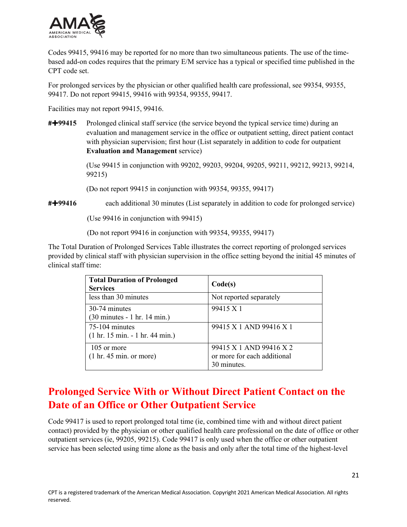

Codes 99415, 99416 may be reported for no more than two simultaneous patients. The use of the timebased add-on codes requires that the primary E/M service has a typical or specified time published in the CPT code set.

For prolonged services by the physician or other qualified health care professional, see 99354, 99355, 99417. Do not report 99415, 99416 with 99354, 99355, 99417.

Facilities may not report 99415, 99416.

**#+99415** Prolonged clinical staff service (the service beyond the typical service time) during an evaluation and management service in the office or outpatient setting, direct patient contact with physician supervision; first hour (List separately in addition to code for outpatient **Evaluation and Management** service)

> (Use 99415 in conjunction with 99202, 99203, 99204, 99205, 99211, 99212, 99213, 99214, 99215)

(Do not report 99415 in conjunction with 99354, 99355, 99417)

**#**Ê**99416** each additional 30 minutes (List separately in addition to code for prolonged service)

(Use 99416 in conjunction with 99415)

(Do not report 99416 in conjunction with 99354, 99355, 99417)

The Total Duration of Prolonged Services Table illustrates the correct reporting of prolonged services provided by clinical staff with physician supervision in the office setting beyond the initial 45 minutes of clinical staff time:

| <b>Total Duration of Prolonged</b><br><b>Services</b> | Code(s)                                                               |
|-------------------------------------------------------|-----------------------------------------------------------------------|
| less than 30 minutes                                  | Not reported separately                                               |
| 30-74 minutes<br>(30 minutes - 1 hr. 14 min.)         | 99415 X 1                                                             |
| 75-104 minutes<br>$(1 hr. 15 min. - 1 hr. 44 min.)$   | 99415 X 1 AND 99416 X 1                                               |
| 105 or more<br>(1 hr. 45 min. or more)                | 99415 X 1 AND 99416 X 2<br>or more for each additional<br>30 minutes. |

## **Prolonged Service With or Without Direct Patient Contact on the Date of an Office or Other Outpatient Service**

Code 99417 is used to report prolonged total time (ie, combined time with and without direct patient contact) provided by the physician or other qualified health care professional on the date of office or other outpatient services (ie, 99205, 99215). Code 99417 is only used when the office or other outpatient service has been selected using time alone as the basis and only after the total time of the highest-level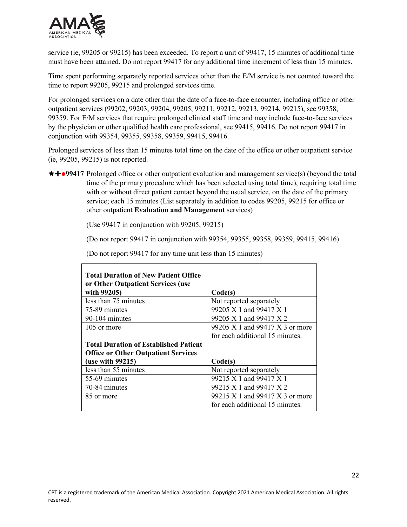

service (ie, 99205 or 99215) has been exceeded. To report a unit of 99417, 15 minutes of additional time must have been attained. Do not report 99417 for any additional time increment of less than 15 minutes.

Time spent performing separately reported services other than the E/M service is not counted toward the time to report 99205, 99215 and prolonged services time.

For prolonged services on a date other than the date of a face-to-face encounter, including office or other outpatient services (99202, 99203, 99204, 99205, 99211, 99212, 99213, 99214, 99215), see 99358, 99359. For E/M services that require prolonged clinical staff time and may include face-to-face services by the physician or other qualified health care professional, see 99415, 99416. Do not report 99417 in conjunction with 99354, 99355, 99358, 99359, 99415, 99416.

Prolonged services of less than 15 minutes total time on the date of the office or other outpatient service (ie, 99205, 99215) is not reported.

**★+●99417** Prolonged office or other outpatient evaluation and management service(s) (beyond the total time of the primary procedure which has been selected using total time), requiring total time with or without direct patient contact beyond the usual service, on the date of the primary service; each 15 minutes (List separately in addition to codes 99205, 99215 for office or other outpatient **Evaluation and Management** services)

(Use 99417 in conjunction with 99205, 99215)

(Do not report 99417 in conjunction with 99354, 99355, 99358, 99359, 99415, 99416)

| <b>Total Duration of New Patient Office</b><br>or Other Outpatient Services (use |                                 |
|----------------------------------------------------------------------------------|---------------------------------|
| with 99205)                                                                      | Code(s)                         |
| less than 75 minutes                                                             | Not reported separately         |
| 75-89 minutes                                                                    | 99205 X 1 and 99417 X 1         |
| $90-104$ minutes                                                                 | 99205 X 1 and 99417 X 2         |
| 105 or more                                                                      | 99205 X 1 and 99417 X 3 or more |
|                                                                                  | for each additional 15 minutes. |
| <b>Total Duration of Established Patient</b>                                     |                                 |
| <b>Office or Other Outpatient Services</b>                                       |                                 |
| (use with 99215)                                                                 | Code(s)                         |
| less than 55 minutes                                                             | Not reported separately         |
| 55-69 minutes                                                                    | 99215 X 1 and 99417 X 1         |
| 70-84 minutes                                                                    | 99215 X 1 and 99417 X 2         |
| 85 or more                                                                       | 99215 X 1 and 99417 X 3 or more |
|                                                                                  | for each additional 15 minutes. |

(Do not report 99417 for any time unit less than 15 minutes)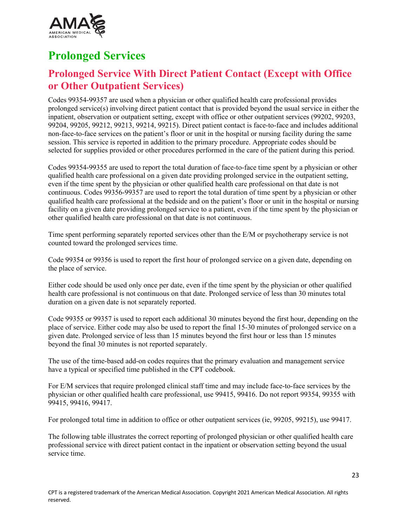

## **Prolonged Services**

### **Prolonged Service With Direct Patient Contact (Except with Office or Other Outpatient Services)**

Codes 99354-99357 are used when a physician or other qualified health care professional provides prolonged service(s) involving direct patient contact that is provided beyond the usual service in either the inpatient, observation or outpatient setting, except with office or other outpatient services (99202, 99203, 99204, 99205, 99212, 99213, 99214, 99215). Direct patient contact is face-to-face and includes additional non-face-to-face services on the patient's floor or unit in the hospital or nursing facility during the same session. This service is reported in addition to the primary procedure. Appropriate codes should be selected for supplies provided or other procedures performed in the care of the patient during this period.

Codes 99354-99355 are used to report the total duration of face-to-face time spent by a physician or other qualified health care professional on a given date providing prolonged service in the outpatient setting, even if the time spent by the physician or other qualified health care professional on that date is not continuous. Codes 99356-99357 are used to report the total duration of time spent by a physician or other qualified health care professional at the bedside and on the patient's floor or unit in the hospital or nursing facility on a given date providing prolonged service to a patient, even if the time spent by the physician or other qualified health care professional on that date is not continuous.

Time spent performing separately reported services other than the E/M or psychotherapy service is not counted toward the prolonged services time.

Code 99354 or 99356 is used to report the first hour of prolonged service on a given date, depending on the place of service.

Either code should be used only once per date, even if the time spent by the physician or other qualified health care professional is not continuous on that date. Prolonged service of less than 30 minutes total duration on a given date is not separately reported.

Code 99355 or 99357 is used to report each additional 30 minutes beyond the first hour, depending on the place of service. Either code may also be used to report the final 15-30 minutes of prolonged service on a given date. Prolonged service of less than 15 minutes beyond the first hour or less than 15 minutes beyond the final 30 minutes is not reported separately.

The use of the time-based add-on codes requires that the primary evaluation and management service have a typical or specified time published in the CPT codebook.

For E/M services that require prolonged clinical staff time and may include face-to-face services by the physician or other qualified health care professional, use 99415, 99416. Do not report 99354, 99355 with 99415, 99416, 99417.

For prolonged total time in addition to office or other outpatient services (ie, 99205, 99215), use 99417.

The following table illustrates the correct reporting of prolonged physician or other qualified health care professional service with direct patient contact in the inpatient or observation setting beyond the usual service time.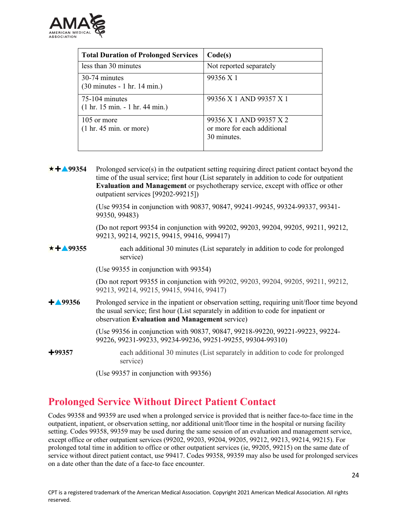

| <b>Total Duration of Prolonged Services</b>                              | Code(s)                                                               |
|--------------------------------------------------------------------------|-----------------------------------------------------------------------|
| less than 30 minutes                                                     | Not reported separately                                               |
| 30-74 minutes<br>$(30 \text{ minutes} - 1 \text{ hr. } 14 \text{ min.})$ | 99356 X 1                                                             |
| 75-104 minutes<br>$(1 hr. 15 min. - 1 hr. 44 min.)$                      | 99356 X 1 AND 99357 X 1                                               |
| $105$ or more<br>(1 hr. 45 min. or more)                                 | 99356 X 1 AND 99357 X 2<br>or more for each additional<br>30 minutes. |

- $\star$  **+**  $\triangle$ **99354** Prolonged service(s) in the outpatient setting requiring direct patient contact beyond the time of the usual service; first hour (List separately in addition to code for outpatient **Evaluation and Management** or psychotherapy service, except with office or other outpatient services [99202-99215]) (Use 99354 in conjunction with 90837, 90847, 99241-99245, 99324-99337, 99341- 99350, 99483) (Do not report 99354 in conjunction with 99202, 99203, 99204, 99205, 99211, 99212, 99213, 99214, 99215, 99415, 99416, 999417) **★十▲99355** each additional 30 minutes (List separately in addition to code for prolonged service) (Use 99355 in conjunction with 99354) (Do not report 99355 in conjunction with 99202, 99203, 99204, 99205, 99211, 99212, 99213, 99214, 99215, 99415, 99416, 99417)  $\pm \triangle 99356$  Prolonged service in the inpatient or observation setting, requiring unit/floor time beyond the usual service; first hour (List separately in addition to code for inpatient or observation **Evaluation and Management** service) (Use 99356 in conjunction with 90837, 90847, 99218-99220, 99221-99223, 99224- 99226, 99231-99233, 99234-99236, 99251-99255, 99304-99310) Ê**99357** each additional 30 minutes (List separately in addition to code for prolonged service)
	- (Use 99357 in conjunction with 99356)

### **Prolonged Service Without Direct Patient Contact**

Codes 99358 and 99359 are used when a prolonged service is provided that is neither face-to-face time in the outpatient, inpatient, or observation setting, nor additional unit/floor time in the hospital or nursing facility setting. Codes 99358, 99359 may be used during the same session of an evaluation and management service, except office or other outpatient services (99202, 99203, 99204, 99205, 99212, 99213, 99214, 99215). For prolonged total time in addition to office or other outpatient services (ie, 99205, 99215) on the same date of service without direct patient contact, use 99417. Codes 99358, 99359 may also be used for prolonged services on a date other than the date of a face-to face encounter.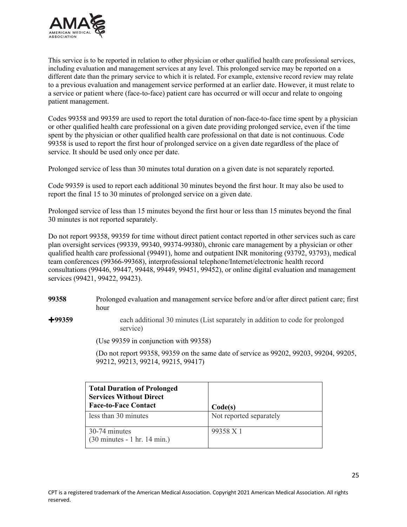

This service is to be reported in relation to other physician or other qualified health care professional services, including evaluation and management services at any level. This prolonged service may be reported on a different date than the primary service to which it is related. For example, extensive record review may relate to a previous evaluation and management service performed at an earlier date. However, it must relate to a service or patient where (face-to-face) patient care has occurred or will occur and relate to ongoing patient management.

Codes 99358 and 99359 are used to report the total duration of non-face-to-face time spent by a physician or other qualified health care professional on a given date providing prolonged service, even if the time spent by the physician or other qualified health care professional on that date is not continuous. Code 99358 is used to report the first hour of prolonged service on a given date regardless of the place of service. It should be used only once per date.

Prolonged service of less than 30 minutes total duration on a given date is not separately reported.

Code 99359 is used to report each additional 30 minutes beyond the first hour. It may also be used to report the final 15 to 30 minutes of prolonged service on a given date.

Prolonged service of less than 15 minutes beyond the first hour or less than 15 minutes beyond the final 30 minutes is not reported separately.

Do not report 99358, 99359 for time without direct patient contact reported in other services such as care plan oversight services (99339, 99340, 99374-99380), chronic care management by a physician or other qualified health care professional (99491), home and outpatient INR monitoring (93792, 93793), medical team conferences (99366-99368), interprofessional telephone/Internet/electronic health record consultations (99446, 99447, 99448, 99449, 99451, 99452), or online digital evaluation and management services (99421, 99422, 99423).

- **99358** Prolonged evaluation and management service before and/or after direct patient care; first hour
- $+99359$  each additional 30 minutes (List separately in addition to code for prolonged service)

(Use 99359 in conjunction with 99358)

(Do not report 99358, 99359 on the same date of service as 99202, 99203, 99204, 99205, 99212, 99213, 99214, 99215, 99417)

| <b>Total Duration of Prolonged</b><br><b>Services Without Direct</b><br><b>Face-to-Face Contact</b> | Code(s)                 |
|-----------------------------------------------------------------------------------------------------|-------------------------|
| less than 30 minutes                                                                                | Not reported separately |
| 30-74 minutes<br>$(30 \text{ minutes} - 1 \text{ hr. } 14 \text{ min.})$                            | 99358 X 1               |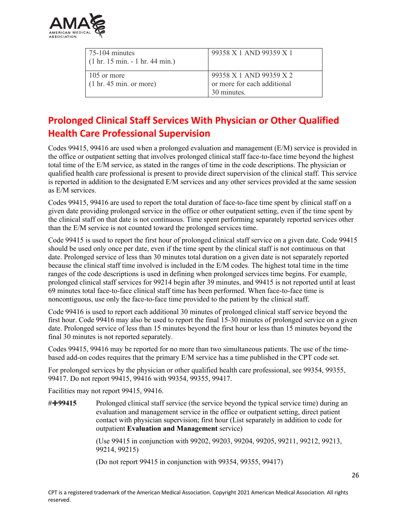

| $\sqrt{75-104}$ minutes<br>$(1 hr. 15 min. - 1 hr. 44 min.)$ | 99358 X 1 AND 99359 X 1                                |
|--------------------------------------------------------------|--------------------------------------------------------|
| $105$ or more                                                | 99358 X 1 AND 99359 X 2<br>or more for each additional |
| (1 hr. 45 min. or more)                                      | 30 minutes.                                            |

## **Prolonged Clinical Staff Services With Physician or Other Qualified Health Care Professional Supervision**

Codes 99415, 99416 are used when a prolonged evaluation and management (E/M) service is provided in the office or outpatient setting that involves prolonged clinical staff face-to-face time beyond the highest total time of the E/M service, as stated in the ranges of time in the code descriptions. The physician or qualified health care professional is present to provide direct supervision of the clinical staff. This service is reported in addition to the designated E/M services and any other services provided at the same session as E/M services.

Codes 99415, 99416 are used to report the total duration of face-to-face time spent by clinical staff on a given date providing prolonged service in the office or other outpatient setting, even if the time spent by the clinical staff on that date is not continuous. Time spent performing separately reported services other than the E/M service is not counted toward the prolonged services time.

Code 99415 is used to report the first hour of prolonged clinical staff service on a given date. Code 99415 should be used only once per date, even if the time spent by the clinical staff is not continuous on that date. Prolonged service of less than 30 minutes total duration on a given date is not separately reported because the clinical staff time involved is included in the E/M codes. The highest total time in the time ranges of the code descriptions is used in defining when prolonged services time begins. For example, prolonged clinical staff services for 99214 begin after 39 minutes, and 99415 is not reported until at least 69 minutes total face-to-face clinical staff time has been performed. When face-to-face time is noncontiguous, use only the face-to-face time provided to the patient by the clinical staff.

Code 99416 is used to report each additional 30 minutes of prolonged clinical staff service beyond the first hour. Code 99416 may also be used to report the final 15-30 minutes of prolonged service on a given date. Prolonged service of less than 15 minutes beyond the first hour or less than 15 minutes beyond the final 30 minutes is not reported separately.

Codes 99415, 99416 may be reported for no more than two simultaneous patients. The use of the timebased add-on codes requires that the primary E/M service has a time published in the CPT code set.

For prolonged services by the physician or other qualified health care professional, see 99354, 99355, 99417. Do not report 99415, 99416 with 99354, 99355, 99417.

Facilities may not report 99415, 99416.

**#**Ê**99415** Prolonged clinical staff service (the service beyond the typical service time) during an evaluation and management service in the office or outpatient setting, direct patient contact with physician supervision; first hour (List separately in addition to code for outpatient **Evaluation and Management** service)

> (Use 99415 in conjunction with 99202, 99203, 99204, 99205, 99211, 99212, 99213, 99214, 99215)

(Do not report 99415 in conjunction with 99354, 99355, 99417)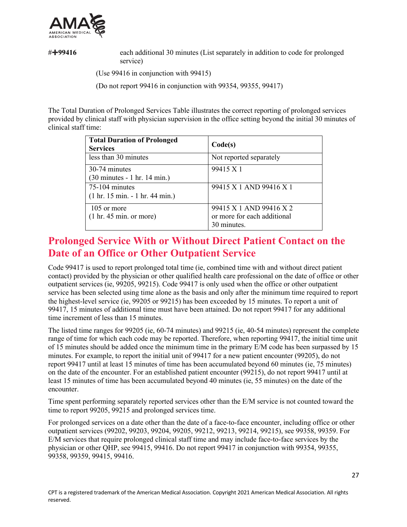

**#**Ê**99416** each additional 30 minutes (List separately in addition to code for prolonged service)

(Use 99416 in conjunction with 99415)

(Do not report 99416 in conjunction with 99354, 99355, 99417)

The Total Duration of Prolonged Services Table illustrates the correct reporting of prolonged services provided by clinical staff with physician supervision in the office setting beyond the initial 30 minutes of clinical staff time:

| <b>Total Duration of Prolonged</b><br><b>Services</b> | Code(s)                                                               |
|-------------------------------------------------------|-----------------------------------------------------------------------|
| less than 30 minutes                                  | Not reported separately                                               |
| 30-74 minutes<br>(30 minutes - 1 hr. 14 min.)         | 99415 X 1                                                             |
| $75-104$ minutes<br>$(1 hr. 15 min. - 1 hr. 44 min.)$ | 99415 X 1 AND 99416 X 1                                               |
| 105 or more<br>(1 hr. 45 min. or more)                | 99415 X 1 AND 99416 X 2<br>or more for each additional<br>30 minutes. |

## **Prolonged Service With or Without Direct Patient Contact on the Date of an Office or Other Outpatient Service**

Code 99417 is used to report prolonged total time (ie, combined time with and without direct patient contact) provided by the physician or other qualified health care professional on the date of office or other outpatient services (ie, 99205, 99215). Code 99417 is only used when the office or other outpatient service has been selected using time alone as the basis and only after the minimum time required to report the highest-level service (ie, 99205 or 99215) has been exceeded by 15 minutes. To report a unit of 99417, 15 minutes of additional time must have been attained. Do not report 99417 for any additional time increment of less than 15 minutes.

The listed time ranges for 99205 (ie, 60-74 minutes) and 99215 (ie, 40-54 minutes) represent the complete range of time for which each code may be reported. Therefore, when reporting 99417, the initial time unit of 15 minutes should be added once the minimum time in the primary E/M code has been surpassed by 15 minutes. For example, to report the initial unit of 99417 for a new patient encounter (99205), do not report 99417 until at least 15 minutes of time has been accumulated beyond 60 minutes (ie, 75 minutes) on the date of the encounter. For an established patient encounter (99215), do not report 99417 until at least 15 minutes of time has been accumulated beyond 40 minutes (ie, 55 minutes) on the date of the encounter.

Time spent performing separately reported services other than the E/M service is not counted toward the time to report 99205, 99215 and prolonged services time.

For prolonged services on a date other than the date of a face-to-face encounter, including office or other outpatient services (99202, 99203, 99204, 99205, 99212, 99213, 99214, 99215), see 99358, 99359. For E/M services that require prolonged clinical staff time and may include face-to-face services by the physician or other QHP, see 99415, 99416. Do not report 99417 in conjunction with 99354, 99355, 99358, 99359, 99415, 99416.